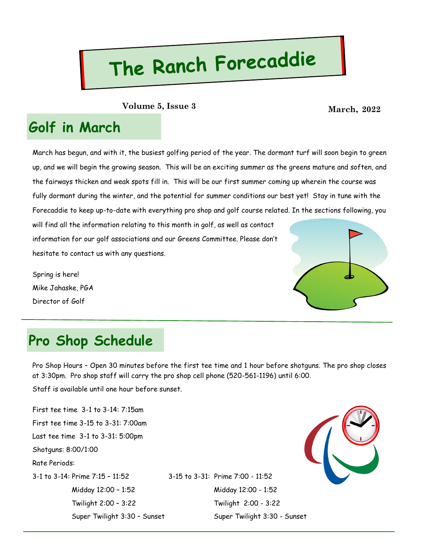# The Ranch Forecaddie

**March, 2022 Volume 5, Issue 3**

### **Golf in March**

March has begun, and with it, the busiest golfing period of the year. The dormant turf will soon begin to green up, and we will begin the growing season. This will be an exciting summer as the greens mature and soften, and the fairways thicken and weak spots fill in. This will be our first summer coming up wherein the course was fully dormant during the winter, and the potential for summer conditions our best yet! Stay in tune with the Forecaddie to keep up-to-date with everything pro shop and golf course related. In the sections following, you

will find all the information relating to this month in golf, as well as contact information for our golf associations and our Greens Committee. Please don't hesitate to contact us with any questions.

Spring is here! Mike Jahaske, PGA Director of Golf



### **Pro Shop Schedule**

Pro Shop Hours – Open 30 minutes before the first tee time and 1 hour before shotguns. The pro shop closes at 3:30pm. Pro shop staff will carry the pro shop cell phone (520-561-1196) until 6:00.

Staff is available until one hour before sunset.

First tee time 3-1 to 3-14: 7:15am First tee time 3-15 to 3-31: 7:00am Last tee time 3-1 to 3-31: 5:00pm Shotguns: 8:00/1:00 Rate Periods: 3-1 to 3-14: Prime 7:15 – 11:52 3-15 to 3-31: Prime 7:00 - 11:52 Midday 12:00 – 1:52 Midday 12:00 - 1:52 Twilight 2:00 – 3:22 Twilight 2:00 - 3:22 Super Twilight 3:30 - Sunset Super Twilight 3:30 - Sunset

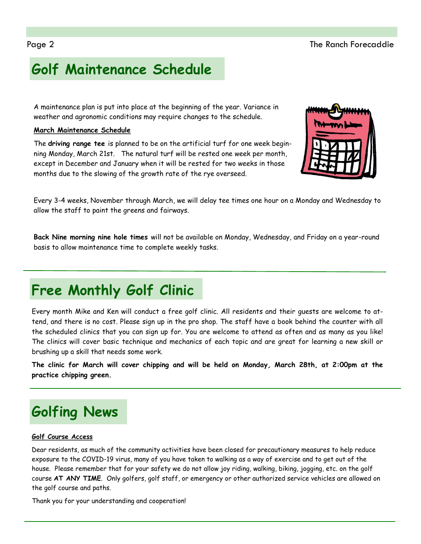### **Golf Maintenance Schedule**

A maintenance plan is put into place at the beginning of the year. Variance in weather and agronomic conditions may require changes to the schedule.

### **March Maintenance Schedule**

The **driving range tee** is planned to be on the artificial turf for one week beginning Monday, March 21st. The natural turf will be rested one week per month, except in December and January when it will be rested for two weeks in those months due to the slowing of the growth rate of the rye overseed.

Every 3-4 weeks, November through March, we will delay tee times one hour on a Monday and Wednesday to allow the staff to paint the greens and fairways.

**Back Nine morning nine hole times** will not be available on Monday, Wednesday, and Friday on a year-round basis to allow maintenance time to complete weekly tasks.

### **Free Monthly Golf Clinic**

Every month Mike and Ken will conduct a free golf clinic. All residents and their guests are welcome to attend, and there is no cost. Please sign up in the pro shop. The staff have a book behind the counter with all the scheduled clinics that you can sign up for. You are welcome to attend as often and as many as you like! The clinics will cover basic technique and mechanics of each topic and are great for learning a new skill or brushing up a skill that needs some work.

**The clinic for March will cover chipping and will be held on Monday, March 28th, at 2:00pm at the practice chipping green.** 

### **Golfing News**

#### **Golf Course Access**

Dear residents, as much of the community activities have been closed for precautionary measures to help reduce exposure to the COVID-19 virus, many of you have taken to walking as a way of exercise and to get out of the house. Please remember that for your safety we do not allow joy riding, walking, biking, jogging, etc. on the golf course **AT ANY TIME**. Only golfers, golf staff, or emergency or other authorized service vehicles are allowed on the golf course and paths.

Thank you for your understanding and cooperation!

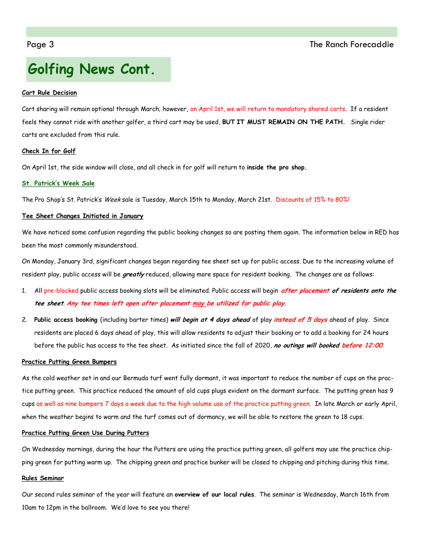### **Golfing News Cont.**

#### **Cart Rule Decision**

Cart sharing will remain optional through March; however, on April 1st, we will return to mandatory shared carts. If a resident feels they cannot ride with another golfer, a third cart may be used, **BUT IT MUST REMAIN ON THE PATH.** Single rider carts are excluded from this rule.

#### **Check In for Golf**

On April 1st, the side window will close, and all check in for golf will return to **inside the pro shop.** 

#### **St. Patrick's Week Sale**

The Pro Shop's St. Patrick's Week sale is Tuesday, March 15th to Monday, March 21st. Discounts of 15% to 80%!

#### **Tee Sheet Changes Initiated in January**

We have noticed some confusion regarding the public booking changes so are posting them again. The information below in RED has been the most commonly misunderstood.

On Monday, January 3rd, significant changes began regarding tee sheet set up for public access. Due to the increasing volume of resident play, public access will be **greatly** reduced, allowing more space for resident booking. The changes are as follows:

- 1. All pre-blocked public access booking slots will be eliminated. Public access will begin **after placement of residents onto the tee sheet**. **Any tee times left open after placement may be utilized for public play**.
- 2. **Public access booking** (including barter times) **will begin at 4 days ahead** of play **instead of 5 days** ahead of play. Since residents are placed 6 days ahead of play, this will allow residents to adjust their booking or to add a booking for 24 hours before the public has access to the tee sheet. As initiated since the fall of 2020, **no outings will booked before 12:00**.

#### **Practice Putting Green Bumpers**

As the cold weather set in and our Bermuda turf went fully dormant, it was important to reduce the number of cups on the practice putting green. This practice reduced the amount of old cups plugs evident on the dormant surface. The putting green has 9 cups as well as nine bumpers 7 days a week due to the high volume use of the practice putting green. In late March or early April, when the weather begins to warm and the turf comes out of dormancy, we will be able to restore the green to 18 cups.

#### **Practice Putting Green Use During Putters**

On Wednesday mornings, during the hour the Putters are using the practice putting green, all golfers may use the practice chipping green for putting warm up. The chipping green and practice bunker will be closed to chipping and pitching during this time.

#### **Rules Seminar**

Our second rules seminar of the year will feature an **overview of our local rules**. The seminar is Wednesday, March 16th from 10am to 12pm in the ballroom. We'd love to see you there!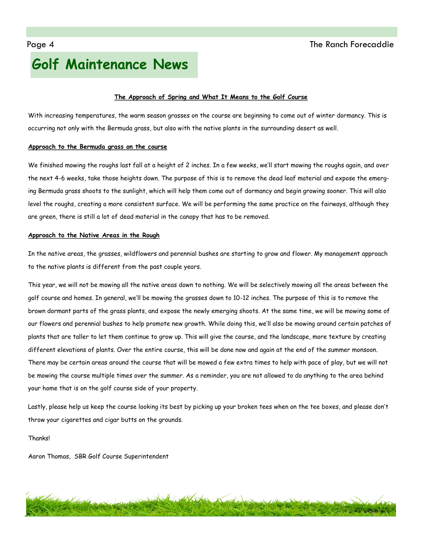## **Golf Maintenance News**

#### **The Approach of Spring and What It Means to the Golf Course**

With increasing temperatures, the warm season grasses on the course are beginning to come out of winter dormancy. This is occurring not only with the Bermuda grass, but also with the native plants in the surrounding desert as well.

#### **Approach to the Bermuda grass on the course**

We finished mowing the roughs last fall at a height of 2 inches. In a few weeks, we'll start mowing the roughs again, and over the next 4-6 weeks, take those heights down. The purpose of this is to remove the dead leaf material and expose the emerging Bermuda grass shoots to the sunlight, which will help them come out of dormancy and begin growing sooner. This will also level the roughs, creating a more consistent surface. We will be performing the same practice on the fairways, although they are green, there is still a lot of dead material in the canopy that has to be removed.

#### **Approach to the Native Areas in the Rough**

In the native areas, the grasses, wildflowers and perennial bushes are starting to grow and flower. My management approach to the native plants is different from the past couple years.

This year, we will not be mowing all the native areas down to nothing. We will be selectively mowing all the areas between the golf course and homes. In general, we'll be mowing the grasses down to 10-12 inches. The purpose of this is to remove the brown dormant parts of the grass plants, and expose the newly emerging shoots. At the same time, we will be mowing some of our flowers and perennial bushes to help promote new growth. While doing this, we'll also be mowing around certain patches of plants that are taller to let them continue to grow up. This will give the course, and the landscape, more texture by creating different elevations of plants. Over the entire course, this will be done now and again at the end of the summer monsoon. There may be certain areas around the course that will be mowed a few extra times to help with pace of play, but we will not be mowing the course multiple times over the summer. As a reminder, you are not allowed to do anything to the area behind your home that is on the golf course side of your property.

Lastly, please help us keep the course looking its best by picking up your broken tees when on the tee boxes, and please don't throw your cigarettes and cigar butts on the grounds.

#### Thanks!

Aaron Thomas, SBR Golf Course Superintendent